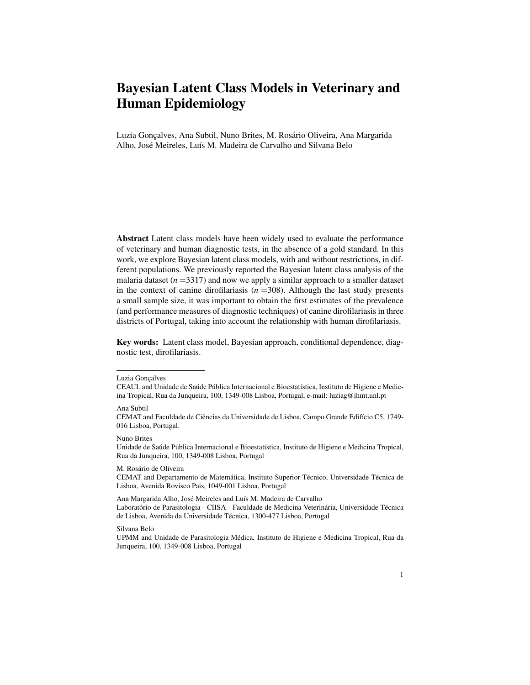# Bayesian Latent Class Models in Veterinary and Human Epidemiology

Luzia Gonçalves, Ana Subtil, Nuno Brites, M. Rosário Oliveira, Ana Margarida Alho, José Meireles, Luís M. Madeira de Carvalho and Silvana Belo

Abstract Latent class models have been widely used to evaluate the performance of veterinary and human diagnostic tests, in the absence of a gold standard. In this work, we explore Bayesian latent class models, with and without restrictions, in different populations. We previously reported the Bayesian latent class analysis of the malaria dataset  $(n=3317)$  and now we apply a similar approach to a smaller dataset in the context of canine dirofilariasis  $(n = 308)$ . Although the last study presents a small sample size, it was important to obtain the first estimates of the prevalence (and performance measures of diagnostic techniques) of canine dirofilariasis in three districts of Portugal, taking into account the relationship with human dirofilariasis.

Key words: Latent class model, Bayesian approach, conditional dependence, diagnostic test, dirofilariasis.

Ana Subtil

Nuno Brites

Unidade de Saúde Pública Internacional e Bioestatística, Instituto de Higiene e Medicina Tropical, Rua da Junqueira, 100, 1349-008 Lisboa, Portugal

M. Rosário de Oliveira

CEMAT and Departamento de Matemática, Instituto Superior Técnico, Universidade Técnica de Lisboa, Avenida Rovisco Pais, 1049-001 Lisboa, Portugal

Ana Margarida Alho, José Meireles and Luís M. Madeira de Carvalho Laboratório de Parasitologia - CIISA - Faculdade de Medicina Veterinária, Universidade Técnica de Lisboa, Avenida da Universidade Técnica, 1300-477 Lisboa, Portugal

Silvana Belo

Luzia Gonçalves

CEAUL and Unidade de Saúde Pública Internacional e Bioestatística, Instituto de Higiene e Medicina Tropical, Rua da Junqueira, 100, 1349-008 Lisboa, Portugal, e-mail: luziag@ihmt.unl.pt

CEMAT and Faculdade de Ciências da Universidade de Lisboa, Campo Grande Edifício C5, 1749-016 Lisboa, Portugal.

UPMM and Unidade de Parasitologia Medica, Instituto de Higiene e Medicina Tropical, Rua da ´ Junqueira, 100, 1349-008 Lisboa, Portugal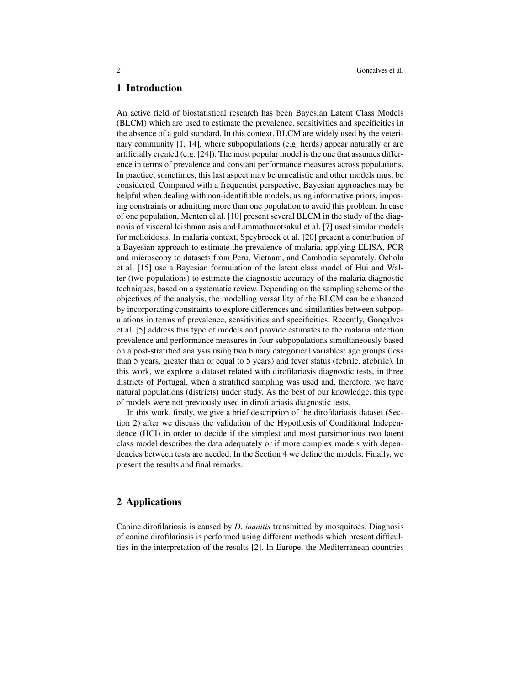## 1 Introduction

An active field of biostatistical research has been Bayesian Latent Class Models (BLCM) which are used to estimate the prevalence, sensitivities and specificities in the absence of a gold standard. In this context, BLCM are widely used by the veterinary community  $[1, 14]$ , where subpopulations (e.g. herds) appear naturally or are artificially created (e.g.  $[24]$ ). The most popular model is the one that assumes difference in terms of prevalence and constant performance measures across populations. In practice, sometimes, this last aspect may be unrealistic and other models must be considered. Compared with a frequentist perspective, Bayesian approaches may be helpful when dealing with non-identifiable models, using informative priors, imposing constraints or admitting more than one population to avoid this problem. In case of one population, Menten el al. [10] present several BLCM in the study of the diagnosis of visceral leishmaniasis and Limmathurotsakul et al. [7] used similar models for melioidosis. In malaria context, Speybroeck et al. [20] present a contribution of a Bayesian approach to estimate the prevalence of malaria, applying ELISA, PCR and microscopy to datasets from Peru, Vietnam, and Cambodia separately. Ochola et al. [15] use a Bayesian formulation of the latent class model of Hui and Walter (two populations) to estimate the diagnostic accuracy of the malaria diagnostic techniques, based on a systematic review. Depending on the sampling scheme or the objectives of the analysis, the modelling versatility of the BLCM can be enhanced by incorporating constraints to explore differences and similarities between subpopulations in terms of prevalence, sensitivities and specificities. Recently, Goncalves et al. [5] address this type of models and provide estimates to the malaria infection prevalence and performance measures in four subpopulations simultaneously based on a post-stratified analysis using two binary categorical variables: age groups (less than 5 years, greater than or equal to 5 years) and fever status (febrile, afebrile). In this work, we explore a dataset related with dirofilariasis diagnostic tests, in three districts of Portugal, when a stratified sampling was used and, therefore, we have natural populations (districts) under study. As the best of our knowledge, this type of models were not previously used in dirofilariasis diagnostic tests.

In this work, firstly, we give a brief description of the dirofilariasis dataset (Section 2) after we discuss the validation of the Hypothesis of Conditional Independence (HCI) in order to decide if the simplest and most parsimonious two latent class model describes the data adequately or if more complex models with dependencies between tests are needed. In the Section 4 we define the models. Finally, we present the results and final remarks.

#### 2 Applications

Canine dirofilariosis is caused by *D. immitis* transmitted by mosquitoes. Diagnosis of canine dirofilariasis is performed using different methods which present difficulties in the interpretation of the results [2]. In Europe, the Mediterranean countries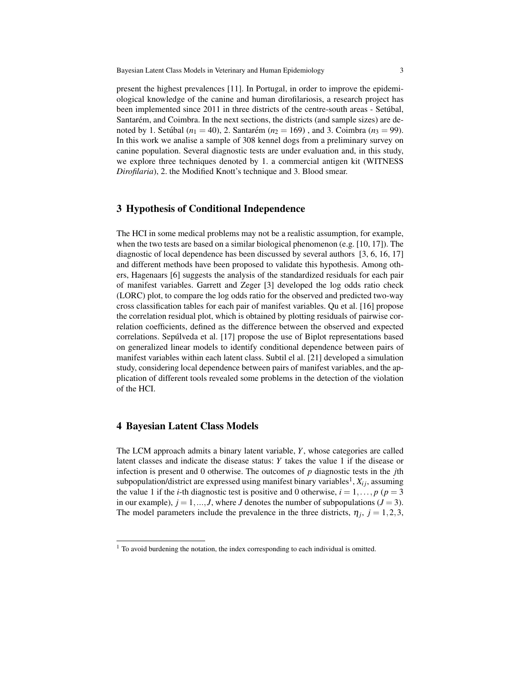present the highest prevalences [11]. In Portugal, in order to improve the epidemiological knowledge of the canine and human dirofilariosis, a research project has been implemented since 2011 in three districts of the centre-south areas - Setúbal, Santarém, and Coimbra. In the next sections, the districts (and sample sizes) are denoted by 1. Setúbal ( $n_1 = 40$ ), 2. Santarém ( $n_2 = 169$ ), and 3. Coimbra ( $n_3 = 99$ ). In this work we analise a sample of 308 kennel dogs from a preliminary survey on canine population. Several diagnostic tests are under evaluation and, in this study, we explore three techniques denoted by 1. a commercial antigen kit (WITNESS *Dirofilaria*), 2. the Modified Knott's technique and 3. Blood smear.

# 3 Hypothesis of Conditional Independence

The HCI in some medical problems may not be a realistic assumption, for example, when the two tests are based on a similar biological phenomenon (e.g.  $[10, 17]$ ). The diagnostic of local dependence has been discussed by several authors [3, 6, 16, 17] and different methods have been proposed to validate this hypothesis. Among others, Hagenaars [6] suggests the analysis of the standardized residuals for each pair of manifest variables. Garrett and Zeger [3] developed the log odds ratio check (LORC) plot, to compare the log odds ratio for the observed and predicted two-way cross classification tables for each pair of manifest variables. Qu et al. [16] propose the correlation residual plot, which is obtained by plotting residuals of pairwise correlation coefficients, defined as the difference between the observed and expected correlations. Sepúlveda et al. [17] propose the use of Biplot representations based on generalized linear models to identify conditional dependence between pairs of manifest variables within each latent class. Subtil el al. [21] developed a simulation study, considering local dependence between pairs of manifest variables, and the application of different tools revealed some problems in the detection of the violation of the HCI.

#### 4 Bayesian Latent Class Models

The LCM approach admits a binary latent variable, *Y*, whose categories are called latent classes and indicate the disease status: *Y* takes the value 1 if the disease or infection is present and 0 otherwise. The outcomes of *p* diagnostic tests in the *j*th subpopulation/district are expressed using manifest binary variables $^1, X_{ij}$ , assuming the value 1 if the *i*-th diagnostic test is positive and 0 otherwise,  $i = 1, \ldots, p$  ( $p = 3$ ) in our example),  $j = 1, ..., J$ , where *J* denotes the number of subpopulations ( $J = 3$ ). The model parameters include the prevalence in the three districts,  $\eta_j$ ,  $j = 1, 2, 3$ ,

 $<sup>1</sup>$  To avoid burdening the notation, the index corresponding to each individual is omitted.</sup>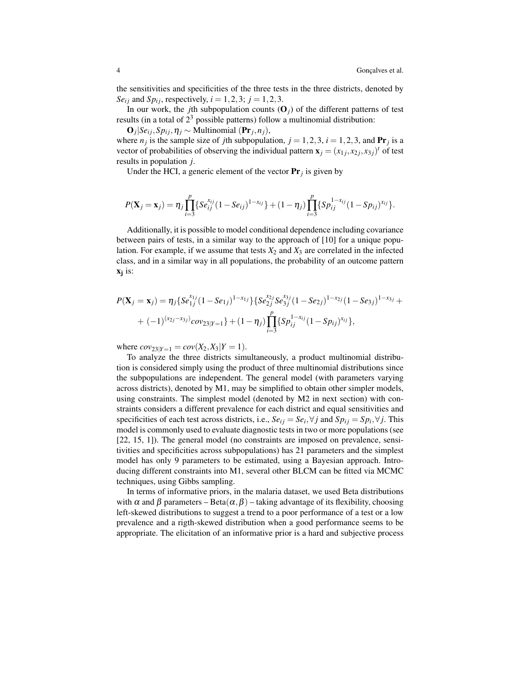the sensitivities and specificities of the three tests in the three districts, denoted by *Se<sub>i</sub>* and *Sp*<sub>*i*</sub>, respectively,  $i = 1, 2, 3$ ;  $j = 1, 2, 3$ .

In our work, the *j*th subpopulation counts  $(O_i)$  of the different patterns of test results (in a total of  $2<sup>3</sup>$  possible patterns) follow a multinomial distribution:

 $\mathbf{O}_j$ |*Se*<sub>*i*</sub>*j*,*Sp*<sub>*ij*</sub>, $\eta$ <sub>*j*</sub> ∼ Multinomial (P**r**<sub>*j*</sub>,*n*<sub>*j*</sub>), where  $n_j$  is the sample size of *j*th subpopulation,  $j = 1, 2, 3$ ,  $i = 1, 2, 3$ , and **Pr**<sub>*j*</sub> is a vector of probabilities of observing the individual pattern  $\mathbf{x}_j = (x_{1j}, x_{2j}, x_{3j})^t$  of test results in population *j*.

Under the HCI, a generic element of the vector  $Pr_j$  is given by

$$
P(\mathbf{X}_j = \mathbf{x}_j) = \eta_j \prod_{i=3}^p \{Se_{ij}^{x_{ij}}(1-Se_{ij})^{1-x_{ij}}\} + (1-\eta_j) \prod_{i=3}^p \{Sp_{ij}^{1-x_{ij}}(1-Sp_{ij})^{x_{ij}}\}.
$$

Additionally, it is possible to model conditional dependence including covariance between pairs of tests, in a similar way to the approach of [10] for a unique population. For example, if we assume that tests  $X_2$  and  $X_3$  are correlated in the infected class, and in a similar way in all populations, the probability of an outcome pattern xj is:

$$
P(\mathbf{X}_{j} = \mathbf{x}_{j}) = \eta_{j} \{Se_{1j}^{x_{1j}}(1 - Se_{1j})^{1 - x_{1j}}\} \{Se_{2j}^{x_{2j}} Se_{3j}^{x_{3j}}(1 - Se_{2j})^{1 - x_{2j}}(1 - Se_{3j})^{1 - x_{3j}} + (-1)^{(x_{2j} - x_{3j})} cov_{23|Y=1}\} + (1 - \eta_{j}) \prod_{i=3}^{p} \{Sp_{ij}^{1 - x_{ij}}(1 - Sp_{ij})^{x_{ij}}\},
$$

where  $cov_{23|Y=1} = cov(X_2, X_3|Y=1)$ .

To analyze the three districts simultaneously, a product multinomial distribution is considered simply using the product of three multinomial distributions since the subpopulations are independent. The general model (with parameters varying across districts), denoted by M1, may be simplified to obtain other simpler models, using constraints. The simplest model (denoted by M2 in next section) with constraints considers a different prevalence for each district and equal sensitivities and specificities of each test across districts, i.e.,  $Se_{ij} = Se_i$ ,  $\forall j$  and  $Sp_{ij} = Sp_i$ ,  $\forall j$ . This model is commonly used to evaluate diagnostic tests in two or more populations (see [22, 15, 1]). The general model (no constraints are imposed on prevalence, sensitivities and specificities across subpopulations) has 21 parameters and the simplest model has only 9 parameters to be estimated, using a Bayesian approach. Introducing different constraints into M1, several other BLCM can be fitted via MCMC techniques, using Gibbs sampling.

In terms of informative priors, in the malaria dataset, we used Beta distributions with  $\alpha$  and  $\beta$  parameters – Beta $(\alpha, \beta)$  – taking advantage of its flexibility, choosing left-skewed distributions to suggest a trend to a poor performance of a test or a low prevalence and a rigth-skewed distribution when a good performance seems to be appropriate. The elicitation of an informative prior is a hard and subjective process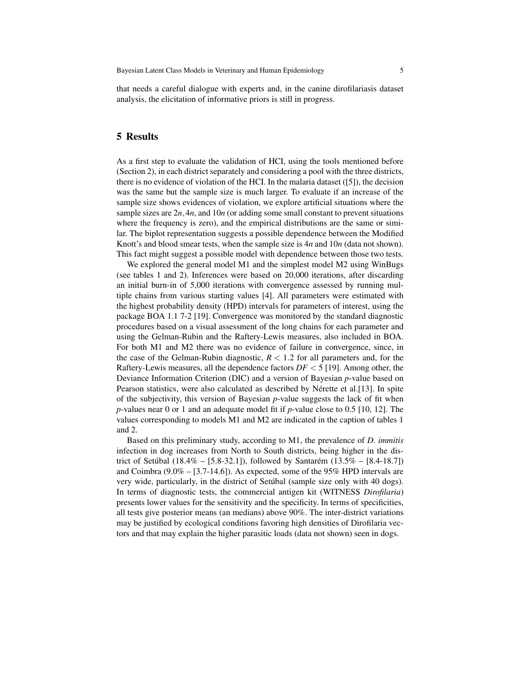that needs a careful dialogue with experts and, in the canine dirofilariasis dataset analysis, the elicitation of informative priors is still in progress.

# 5 Results

As a first step to evaluate the validation of HCI, using the tools mentioned before (Section 2), in each district separately and considering a pool with the three districts, there is no evidence of violation of the HCI. In the malaria dataset ([5]), the decision was the same but the sample size is much larger. To evaluate if an increase of the sample size shows evidences of violation, we explore artificial situations where the sample sizes are  $2n, 4n$ , and  $10n$  (or adding some small constant to prevent situations where the frequency is zero), and the empirical distributions are the same or similar. The biplot representation suggests a possible dependence between the Modified Knott's and blood smear tests, when the sample size is 4*n* and 10*n* (data not shown). This fact might suggest a possible model with dependence between those two tests.

We explored the general model M1 and the simplest model M2 using WinBugs (see tables 1 and 2). Inferences were based on 20,000 iterations, after discarding an initial burn-in of 5,000 iterations with convergence assessed by running multiple chains from various starting values [4]. All parameters were estimated with the highest probability density (HPD) intervals for parameters of interest, using the package BOA 1.1 7-2 [19]. Convergence was monitored by the standard diagnostic procedures based on a visual assessment of the long chains for each parameter and using the Gelman-Rubin and the Raftery-Lewis measures, also included in BOA. For both M1 and M2 there was no evidence of failure in convergence, since, in the case of the Gelman-Rubin diagnostic,  $R < 1.2$  for all parameters and, for the Raftery-Lewis measures, all the dependence factors *DF* < 5 [19]. Among other, the Deviance Information Criterion (DIC) and a version of Bayesian *p*-value based on Pearson statistics, were also calculated as described by Nérette et al.[13]. In spite of the subjectivity, this version of Bayesian *p*-value suggests the lack of fit when *p*-values near 0 or 1 and an adequate model fit if *p*-value close to 0.5 [10, 12]. The values corresponding to models M1 and M2 are indicated in the caption of tables 1 and 2.

Based on this preliminary study, according to M1, the prevalence of *D. immitis* infection in dog increases from North to South districts, being higher in the district of Setúbal (18.4% – [5.8-32.1]), followed by Santarém (13.5% – [8.4-18.7]) and Coimbra (9.0% – [3.7-14.6]). As expected, some of the 95% HPD intervals are very wide, particularly, in the district of Setubal (sample size only with 40 dogs). ´ In terms of diagnostic tests, the commercial antigen kit (WITNESS *Dirofilaria*) presents lower values for the sensitivity and the specificity. In terms of specificities, all tests give posterior means (an medians) above 90%. The inter-district variations may be justified by ecological conditions favoring high densities of Dirofilaria vectors and that may explain the higher parasitic loads (data not shown) seen in dogs.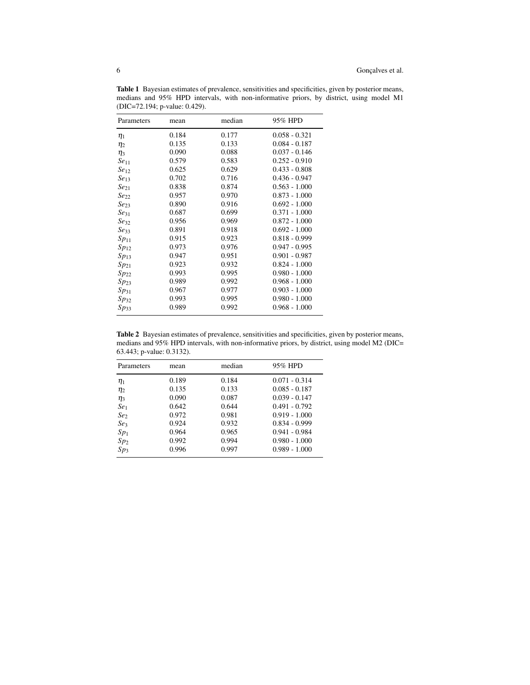Table 1 Bayesian estimates of prevalence, sensitivities and specificities, given by posterior means, medians and 95% HPD intervals, with non-informative priors, by district, using model M1 (DIC=72.194; p-value: 0.429).

| Parameters       | mean  | median | 95% HPD         |
|------------------|-------|--------|-----------------|
| $\eta_1$         | 0.184 | 0.177  | $0.058 - 0.321$ |
| $\eta_2$         | 0.135 | 0.133  | $0.084 - 0.187$ |
| $\eta_3$         | 0.090 | 0.088  | $0.037 - 0.146$ |
| Se <sub>11</sub> | 0.579 | 0.583  | $0.252 - 0.910$ |
| Se <sub>12</sub> | 0.625 | 0.629  | $0.433 - 0.808$ |
| Se <sub>13</sub> | 0.702 | 0.716  | $0.436 - 0.947$ |
| $Se_{21}$        | 0.838 | 0.874  | $0.563 - 1.000$ |
| $Se_{22}$        | 0.957 | 0.970  | $0.873 - 1.000$ |
| Se <sub>23</sub> | 0.890 | 0.916  | $0.692 - 1.000$ |
| Se <sub>31</sub> | 0.687 | 0.699  | $0.371 - 1.000$ |
| $Se_{32}$        | 0.956 | 0.969  | $0.872 - 1.000$ |
| Se <sub>33</sub> | 0.891 | 0.918  | $0.692 - 1.000$ |
| $Sp_{11}$        | 0.915 | 0.923  | $0.818 - 0.999$ |
| $Sp_{12}$        | 0.973 | 0.976  | $0.947 - 0.995$ |
| $Sp_{13}$        | 0.947 | 0.951  | $0.901 - 0.987$ |
| $Sp_{21}$        | 0.923 | 0.932  | $0.824 - 1.000$ |
| $Sp_{22}$        | 0.993 | 0.995  | $0.980 - 1.000$ |
| $Sp_{23}$        | 0.989 | 0.992  | $0.968 - 1.000$ |
| $Sp_{31}$        | 0.967 | 0.977  | $0.903 - 1.000$ |
| $Sp_{32}$        | 0.993 | 0.995  | $0.980 - 1.000$ |
| $Sp_{33}$        | 0.989 | 0.992  | $0.968 - 1.000$ |

Table 2 Bayesian estimates of prevalence, sensitivities and specificities, given by posterior means, medians and 95% HPD intervals, with non-informative priors, by district, using model M2 (DIC= 63.443; p-value: 0.3132).

| Parameters      | mean  | median | 95% HPD         |
|-----------------|-------|--------|-----------------|
| $\eta_1$        | 0.189 | 0.184  | $0.071 - 0.314$ |
| $\eta_2$        | 0.135 | 0.133  | $0.085 - 0.187$ |
| $\eta_3$        | 0.090 | 0.087  | $0.039 - 0.147$ |
| Se <sub>1</sub> | 0.642 | 0.644  | $0.491 - 0.792$ |
| Se <sub>2</sub> | 0.972 | 0.981  | $0.919 - 1.000$ |
| Se <sub>3</sub> | 0.924 | 0.932  | $0.834 - 0.999$ |
| Sp <sub>1</sub> | 0.964 | 0.965  | $0.941 - 0.984$ |
| Sp <sub>2</sub> | 0.992 | 0.994  | $0.980 - 1.000$ |
| Sp <sub>3</sub> | 0.996 | 0.997  | $0.989 - 1.000$ |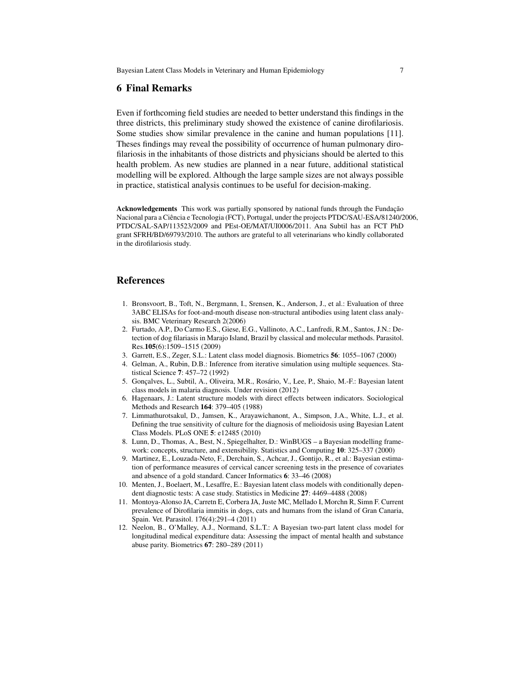# 6 Final Remarks

Even if forthcoming field studies are needed to better understand this findings in the three districts, this preliminary study showed the existence of canine dirofilariosis. Some studies show similar prevalence in the canine and human populations [11]. Theses findings may reveal the possibility of occurrence of human pulmonary dirofilariosis in the inhabitants of those districts and physicians should be alerted to this health problem. As new studies are planned in a near future, additional statistical modelling will be explored. Although the large sample sizes are not always possible in practice, statistical analysis continues to be useful for decision-making.

Acknowledgements This work was partially sponsored by national funds through the Fundação Nacional para a Ciência e Tecnologia (FCT), Portugal, under the projects PTDC/SAU-ESA/81240/2006, PTDC/SAL-SAP/113523/2009 and PEst-OE/MAT/UI0006/2011. Ana Subtil has an FCT PhD grant SFRH/BD/69793/2010. The authors are grateful to all veterinarians who kindly collaborated in the dirofilariosis study.

## References

- 1. Bronsvoort, B., Toft, N., Bergmann, I., Srensen, K., Anderson, J., et al.: Evaluation of three 3ABC ELISAs for foot-and-mouth disease non-structural antibodies using latent class analysis. BMC Veterinary Research 2(2006)
- 2. Furtado, A.P., Do Carmo E.S., Giese, E.G., Vallinoto, A.C., Lanfredi, R.M., Santos, J.N.: Detection of dog filariasis in Marajo Island, Brazil by classical and molecular methods. Parasitol. Res.105(6):1509–1515 (2009)
- 3. Garrett, E.S., Zeger, S.L.: Latent class model diagnosis. Biometrics 56: 1055–1067 (2000)
- 4. Gelman, A., Rubin, D.B.: Inference from iterative simulation using multiple sequences. Statistical Science 7: 457–72 (1992)
- 5. Gonçalves, L., Subtil, A., Oliveira, M.R., Rosário, V., Lee, P., Shaio, M.-F.: Bayesian latent class models in malaria diagnosis. Under revision (2012)
- 6. Hagenaars, J.: Latent structure models with direct effects between indicators. Sociological Methods and Research 164: 379–405 (1988)
- 7. Limmathurotsakul, D., Jamsen, K., Arayawichanont, A., Simpson, J.A., White, L.J., et al. Defining the true sensitivity of culture for the diagnosis of melioidosis using Bayesian Latent Class Models. PLoS ONE 5: e12485 (2010)
- 8. Lunn, D., Thomas, A., Best, N., Spiegelhalter, D.: WinBUGS a Bayesian modelling framework: concepts, structure, and extensibility. Statistics and Computing 10: 325–337 (2000)
- 9. Martinez, E., Louzada-Neto, F., Derchain, S., Achcar, J., Gontijo, R., et al.: Bayesian estimation of performance measures of cervical cancer screening tests in the presence of covariates and absence of a gold standard. Cancer Informatics 6: 33–46 (2008)
- 10. Menten, J., Boelaert, M., Lesaffre, E.: Bayesian latent class models with conditionally dependent diagnostic tests: A case study. Statistics in Medicine 27: 4469–4488 (2008)
- 11. Montoya-Alonso JA, Carretn E, Corbera JA, Juste MC, Mellado I, Morchn R, Simn F. Current prevalence of Dirofilaria immitis in dogs, cats and humans from the island of Gran Canaria, Spain. Vet. Parasitol. 176(4):291–4 (2011)
- 12. Neelon, B., O'Malley, A.J., Normand, S.L.T.: A Bayesian two-part latent class model for longitudinal medical expenditure data: Assessing the impact of mental health and substance abuse parity. Biometrics 67: 280–289 (2011)